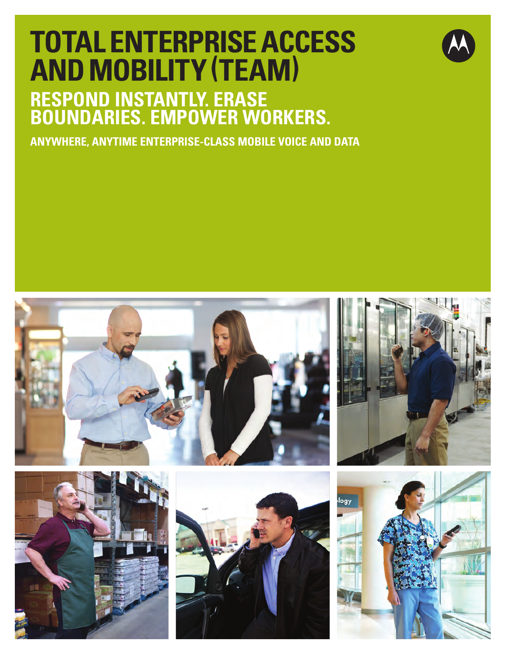# **Total Enterprise Access and Mobility (TE AM)**

# **Respond instantly. erase boundaries. empower workers.**

**anywhere, anytime Enterprise-class mobile voice and data**











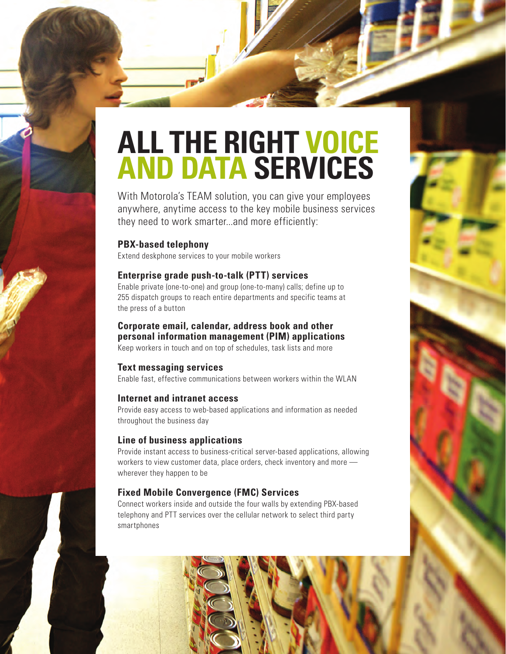# **All the right voice and data services**

With Motorola's TEAM solution, you can give your employees anywhere, anytime access to the key mobile business services they need to work smarter...and more efficiently:

## **PBX-based telephony**

Extend deskphone services to your mobile workers

# **Enterprise grade push-to-talk (PTT) services**

Enable private (one-to-one) and group (one-to-many) calls; define up to 255 dispatch groups to reach entire departments and specific teams at the press of a button

## **Corporate email, calendar, address book and other personal information management (PIM) applications**

Keep workers in touch and on top of schedules, task lists and more

# **Text messaging services**

Enable fast, effective communications between workers within the WLAN

## **Internet and intranet access**

Provide easy access to web-based applications and information as needed throughout the business day

# **Line of business applications**

Provide instant access to business-critical server-based applications, allowing workers to view customer data, place orders, check inventory and more wherever they happen to be

# **Fixed Mobile Convergence (FMC) Services**

Connect workers inside and outside the four walls by extending PBX-based telephony and PTT services over the cellular network to select third party smartphones

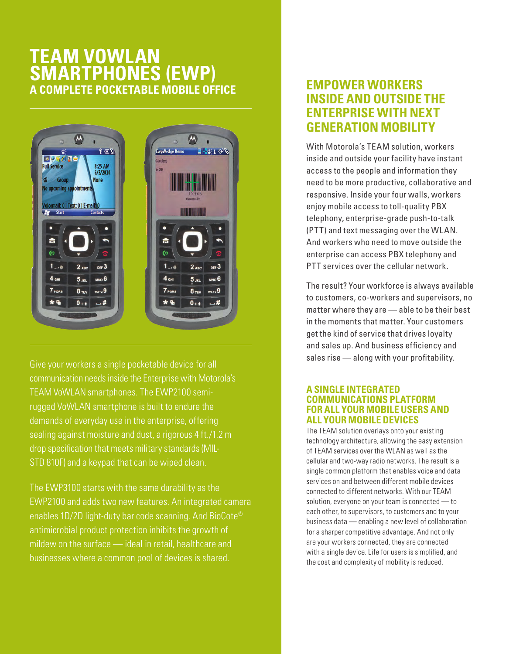# **TEAM VoWL AN Sma rtphones (EW P) A comp lete pocketab le mobile off ice**



Give your workers a single pocketable device for all communication needs inside the Enterprise with Motorola's TEAM VoWLAN smartphones. The EWP2100 semirugged VoWLAN smartphone is built to endure the demands of everyday use in the enterprise, offering sealing against moisture and dust, a rigorous 4 ft./1.2 m drop specification that meets military standards (MIL-STD 810F) and a keypad that can be wiped clean.

The EWP3100 starts with the same durability as the EWP2100 and adds two new features. An integrated camera enables 1D/2D light-duty bar code scanning. And BioCote® antimicrobial product protection inhibits the growth of mildew on the surface — ideal in retail, healthcare and businesses where a common pool of devices is shared.

# **Empower workers inside and outside the enterprise with next generation mobility**

With Motorola's TEAM solution, workers inside and outside your facility have instant access to the people and information they need to be more productive, collaborative and responsive. Inside your four walls, workers enjoy mobile access to toll-quality PBX telephony, enterprise-grade push-to-talk (PTT) and text messaging over the WLAN. And workers who need to move outside the enterprise can access PBX telephony and PTT services over the cellular network.

The result? Your workforce is always available to customers, co-workers and supervisors, no matter where they are — able to be their best in the moments that matter. Your customers get the kind of service that drives loyalty and sales up. And business efficiency and sales rise — along with your profitability.

#### **A single integrated COMMUNICATIONS PLATFORM for all your mobile users and all your mobile devices**

The TEAM solution overlays onto your existing technology architecture, allowing the easy extension of TEAM services over the WLAN as well as the cellular and two-way radio networks. The result is a single common platform that enables voice and data services on and between different mobile devices connected to different networks. With our TEAM solution, everyone on your team is connected — to each other, to supervisors, to customers and to your business data — enabling a new level of collaboration for a sharper competitive advantage. And not only are your workers connected, they are connected with a single device. Life for users is simplified, and the cost and complexity of mobility is reduced.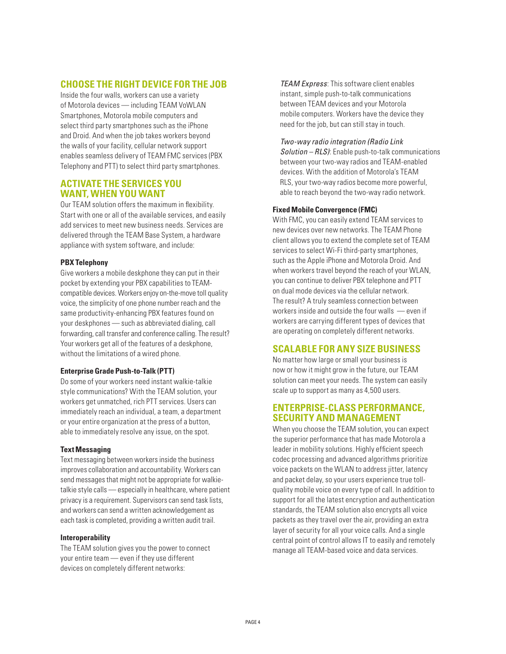#### **choose the right device for the job**

Inside the four walls, workers can use a variety of Motorola devices — including TEAM VoWLAN Smartphones, Motorola mobile computers and select third party smartphones such as the iPhone and Droid. And when the job takes workers beyond the walls of your facility, cellular network support enables seamless delivery of TEAM FMC services (PBX Telephony and PTT) to select third party smartphones.

#### **Activate the services you want, when you want**

Our TEAM solution offers the maximum in flexibility. Start with one or all of the available services, and easily add services to meet new business needs. Services are delivered through the TEAM Base System, a hardware appliance with system software, and include:

#### **PBX Telephony**

Give workers a mobile deskphone they can put in their pocket by extending your PBX capabilities to TEAMcompatible devices. Workers enjoy on-the-move toll quality voice, the simplicity of one phone number reach and the same productivity-enhancing PBX features found on your deskphones — such as abbreviated dialing, call forwarding, call transfer and conference calling. The result? Your workers get all of the features of a deskphone, without the limitations of a wired phone.

#### **Enterprise Grade Push-to-Talk (PTT )**

Do some of your workers need instant walkie-talkie style communications? With the TEAM solution, your workers get unmatched, rich PTT services. Users can immediately reach an individual, a team, a department or your entire organization at the press of a button, able to immediately resolve any issue, on the spot.

#### **Text Messaging**

Text messaging between workers inside the business improves collaboration and accountability. Workers can send messages that might not be appropriate for walkietalkie style calls — especially in healthcare, where patient privacy is a requirement. Supervisors can send task lists, and workers can send a written acknowledgement as each task is completed, providing a written audit trail.

#### **Interoperability**

The TEAM solution gives you the power to connect your entire team — even if they use different devices on completely different networks:

*TEAM Express*: This software client enables instant, simple push-to-talk communications between TEAM devices and your Motorola mobile computers. Workers have the device they need for the job, but can still stay in touch.

#### *Two-way radio integration (Radio Link*

*Solution – RLS)*: Enable push-to-talk communications between your two-way radios and TEAM-enabled devices. With the addition of Motorola's TEAM RLS, your two-way radios become more powerful, able to reach beyond the two-way radio network.

#### **Fixed Mobile Convergence (FMC)**

With FMC, you can easily extend TEAM services to new devices over new networks. The TEAM Phone client allows you to extend the complete set of TEAM services to select Wi-Fi third-party smartphones, such as the Apple iPhone and Motorola Droid. And when workers travel beyond the reach of your WLAN, you can continue to deliver PBX telephone and PTT on dual mode devices via the cellular network. The result? A truly seamless connection between workers inside and outside the four walls — even if workers are carrying different types of devices that are operating on completely different networks.

#### **Scalab le for any size business**

No matter how large or small your business is now or how it might grow in the future, our TEAM solution can meet your needs. The system can easily scale up to support as many as 4,500 users.

#### **Enterprise-class performa nce, SECURITY AND MANAGEMENT**

When you choose the TEAM solution, you can expect the superior performance that has made Motorola a leader in mobility solutions. Highly efficient speech codec processing and advanced algorithms prioritize voice packets on the WLAN to address jitter, latency and packet delay, so your users experience true tollquality mobile voice on every type of call. In addition to support for all the latest encryption and authentication standards, the TEAM solution also encrypts all voice packets as they travel over the air, providing an extra layer of security for all your voice calls. And a single central point of control allows IT to easily and remotely manage all TEAM-based voice and data services.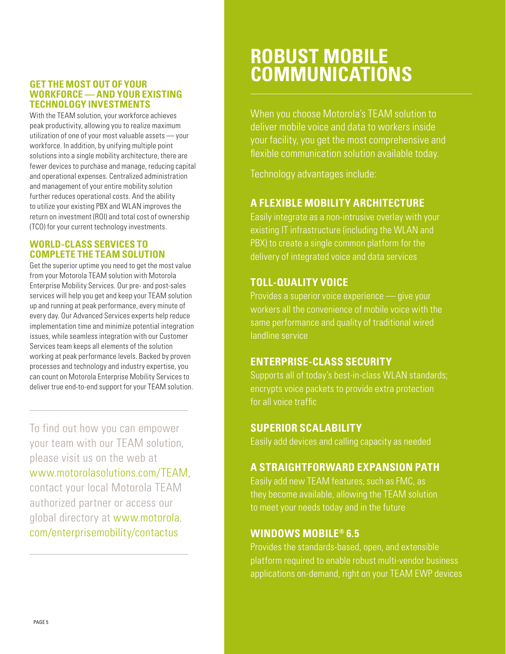#### **Get the most out of your workforce — and your existing technology investments**

With the TEAM solution, your workforce achieves peak productivity, allowing you to realize maximum utilization of one of your most valuable assets — your workforce. In addition, by unifying multiple point solutions into a single mobility architecture, there are fewer devices to purchase and manage, reducing capital and operational expenses. Centralized administration and management of your entire mobility solution further reduces operational costs. And the ability to utilize your existing PBX and WLAN improves the return on investment (ROI) and total cost of ownership (TCO) for your current technology investments.

### **World-class services to**  *COMPLETE THE TEAM SOLUTION*

Get the superior uptime you need to get the most value from your Motorola TEAM solution with Motorola Enterprise Mobility Services. Our pre- and post-sales services will help you get and keep your TEAM solution up and running at peak performance, every minute of every day. Our Advanced Services experts help reduce implementation time and minimize potential integration issues, while seamless integration with our Customer Services team keeps all elements of the solution working at peak performance levels. Backed by proven processes and technology and industry expertise, you can count on Motorola Enterprise Mobility Services to deliver true end-to-end support for your TEAM solution.

To find out how you can empower your team with our TEAM solution, please visit us on the web at www.motorolasolutions.com/TEAM, contact your local Motorola TEAM authorized partner or access our global directory at www.motorola. com/enterprisemobility/contactus

# **Robust mobile communications**

When you choose Motorola's TEAM solution to deliver mobile voice and data to workers inside your facility, you get the most comprehensive and flexible communication solution available today.

Technology advantages include:

# **A flexible mobility architecture**

Easily integrate as a non-intrusive overlay with your existing IT infrastructure (including the WLAN and PBX) to create a single common platform for the delivery of integrated voice and data services

# **Toll-quality voice**

Provides a superior voice experience — give your workers all the convenience of mobile voice with the same performance and quality of traditional wired landline service

# **Enterprise-class security**

Supports all of today's best-in-class WLAN standards; encrypts voice packets to provide extra protection for all voice traffic

# **SUPERIOR SCALABILITY**

Easily add devices and calling capacity as needed

# **A STRAIGHTFORWARD EXPANSION PATH**

Easily add new TEAM features, such as FMC, as they become available, allowing the TEAM solution to meet your needs today and in the future

# **Windows Mobile® 6.5**

Provides the standards-based, open, and extensible platform required to enable robust multi-vendor business applications on-demand, right on your TEAM EWP devices